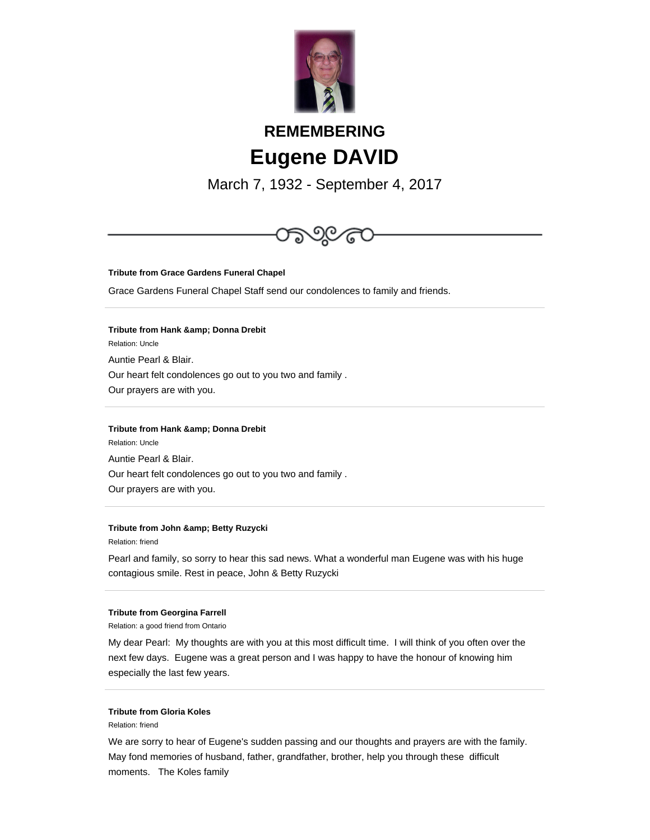

# **REMEMBERING Eugene DAVID**

March 7, 1932 - September 4, 2017



**Tribute from Grace Gardens Funeral Chapel**

Grace Gardens Funeral Chapel Staff send our condolences to family and friends.

**Tribute from Hank & amp; Donna Drebit** Relation: Uncle Auntie Pearl & Blair. Our heart felt condolences go out to you two and family . Our prayers are with you.

## **Tribute from Hank & amp; Donna Drebit**

Relation: Uncle Auntie Pearl & Blair. Our heart felt condolences go out to you two and family . Our prayers are with you.

### **Tribute from John & amp; Betty Ruzycki**

Relation: friend

Pearl and family, so sorry to hear this sad news. What a wonderful man Eugene was with his huge contagious smile. Rest in peace, John & Betty Ruzycki

#### **Tribute from Georgina Farrell**

Relation: a good friend from Ontario

My dear Pearl: My thoughts are with you at this most difficult time. I will think of you often over the next few days. Eugene was a great person and I was happy to have the honour of knowing him especially the last few years.

# **Tribute from Gloria Koles**

Relation: friend

We are sorry to hear of Eugene's sudden passing and our thoughts and prayers are with the family. May fond memories of husband, father, grandfather, brother, help you through these difficult moments. The Koles family